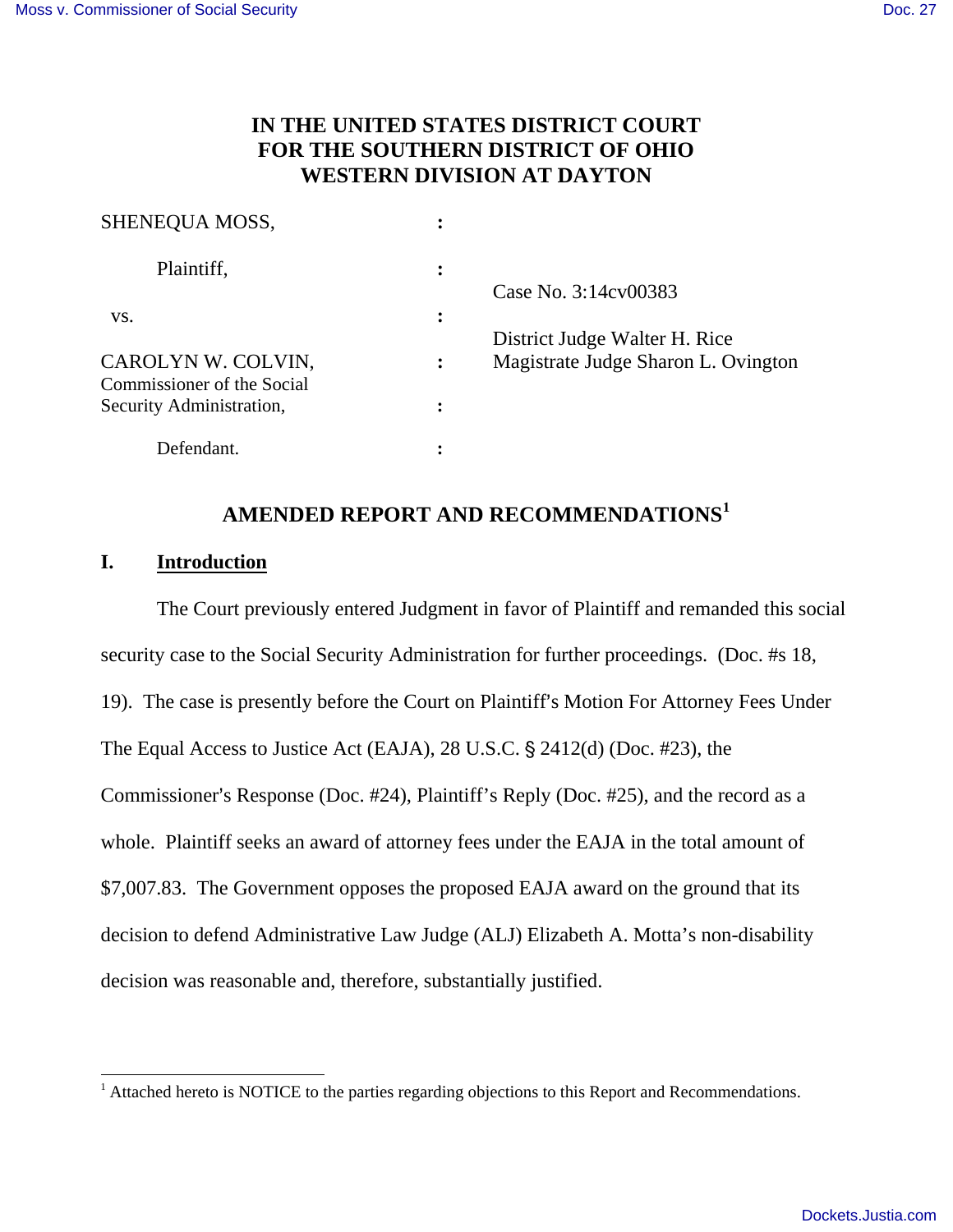# **IN THE UNITED STATES DISTRICT COURT FOR THE SOUTHERN DISTRICT OF OHIO WESTERN DIVISION AT DAYTON**

| SHENEQUA MOSS,                                         |   |                                                                      |
|--------------------------------------------------------|---|----------------------------------------------------------------------|
| Plaintiff,                                             | ፡ | Case No. 3:14cv00383                                                 |
| VS.                                                    | ፡ |                                                                      |
| CAROLYN W. COLVIN,                                     |   | District Judge Walter H. Rice<br>Magistrate Judge Sharon L. Ovington |
| Commissioner of the Social<br>Security Administration, |   |                                                                      |
| Defendant.                                             |   |                                                                      |

# **AMENDED REPORT AND RECOMMENDATIONS<sup>1</sup>**

### **I. Introduction**

-

The Court previously entered Judgment in favor of Plaintiff and remanded this social security case to the Social Security Administration for further proceedings. (Doc. #s 18, 19). The case is presently before the Court on Plaintiff's Motion For Attorney Fees Under The Equal Access to Justice Act (EAJA),  $28$  U.S.C.  $\S$   $2412(d)$  (Doc. #23), the Commissioner's Response (Doc.  $#24$ ), Plaintiff's Reply (Doc.  $#25$ ), and the record as a whole. Plaintiff seeks an award of attorney fees under the EAJA in the total amount of \$7,007.83. The Government opposes the proposed EAJA award on the ground that its decision to defend Administrative Law Judge (ALJ) Elizabeth A. Motta's non-disability decision was reasonable and, therefore, substantially justified.

 $<sup>1</sup>$  Attached hereto is NOTICE to the parties regarding objections to this Report and Recommendations.</sup>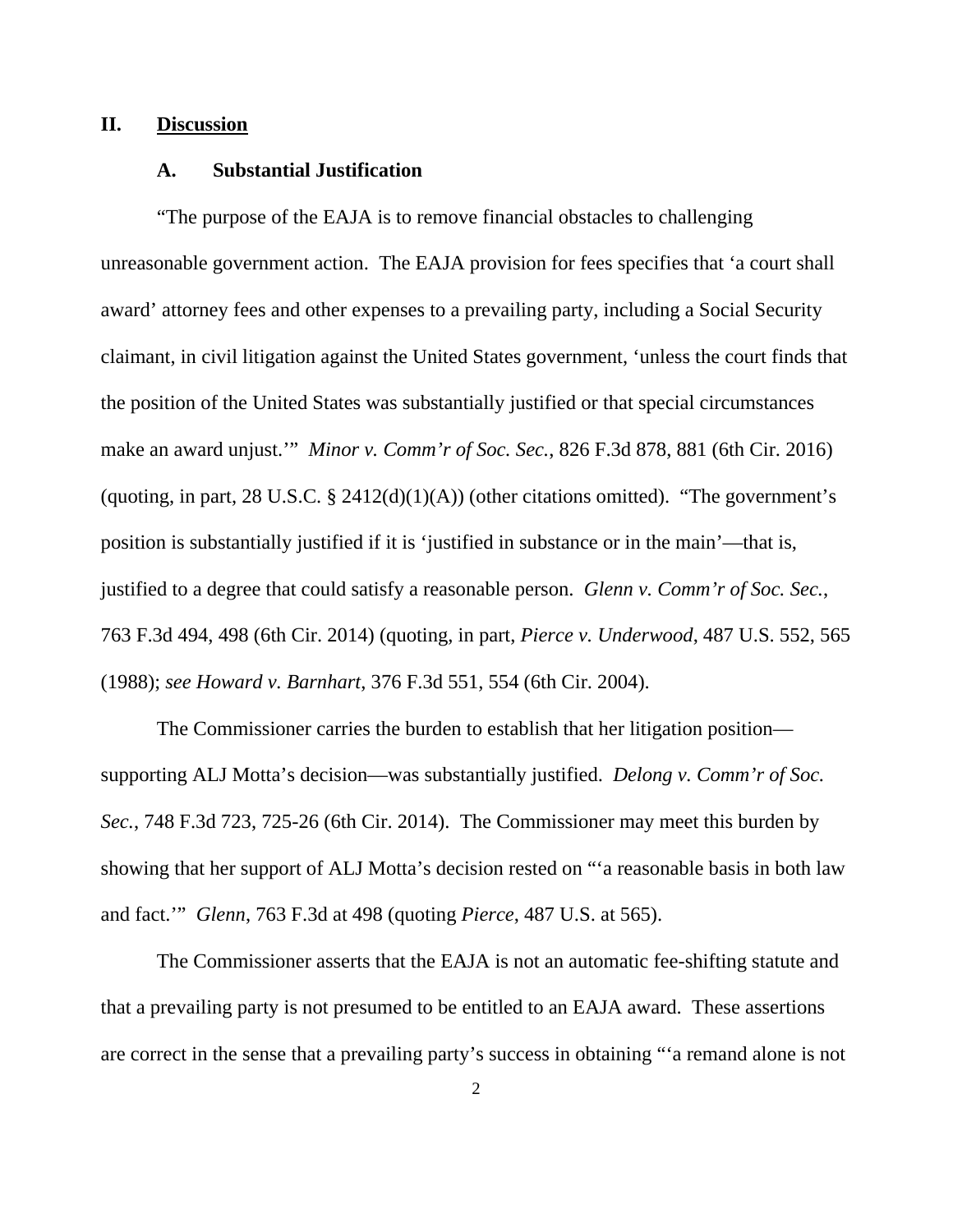### **II. Discussion**

#### **A. Substantial Justification**

"The purpose of the EAJA is to remove financial obstacles to challenging unreasonable government action. The EAJA provision for fees specifies that 'a court shall award' attorney fees and other expenses to a prevailing party, including a Social Security claimant, in civil litigation against the United States government, 'unless the court finds that the position of the United States was substantially justified or that special circumstances make an award unjust.'" *Minor v. Comm'r of Soc. Sec.*, 826 F.3d 878, 881 (6th Cir. 2016) (quoting, in part, 28 U.S.C.  $\S$  2412(d)(1)(A)) (other citations omitted). "The government's position is substantially justified if it is 'justified in substance or in the main'—that is, justified to a degree that could satisfy a reasonable person. *Glenn v. Comm'r of Soc. Sec.*, 763 F.3d 494, 498 (6th Cir. 2014) (quoting, in part, *Pierce v. Underwood*, 487 U.S. 552, 565 (1988); *see Howard v. Barnhart*, 376 F.3d 551, 554 (6th Cir. 2004).

 The Commissioner carries the burden to establish that her litigation position supporting ALJ Motta's decision—was substantially justified. *Delong v. Comm'r of Soc. Sec.*, 748 F.3d 723, 725-26 (6th Cir. 2014). The Commissioner may meet this burden by showing that her support of ALJ Motta's decision rested on "'a reasonable basis in both law and fact.'" *Glenn*, 763 F.3d at 498 (quoting *Pierce*, 487 U.S. at 565).

 The Commissioner asserts that the EAJA is not an automatic fee-shifting statute and that a prevailing party is not presumed to be entitled to an EAJA award. These assertions are correct in the sense that a prevailing party's success in obtaining "'a remand alone is not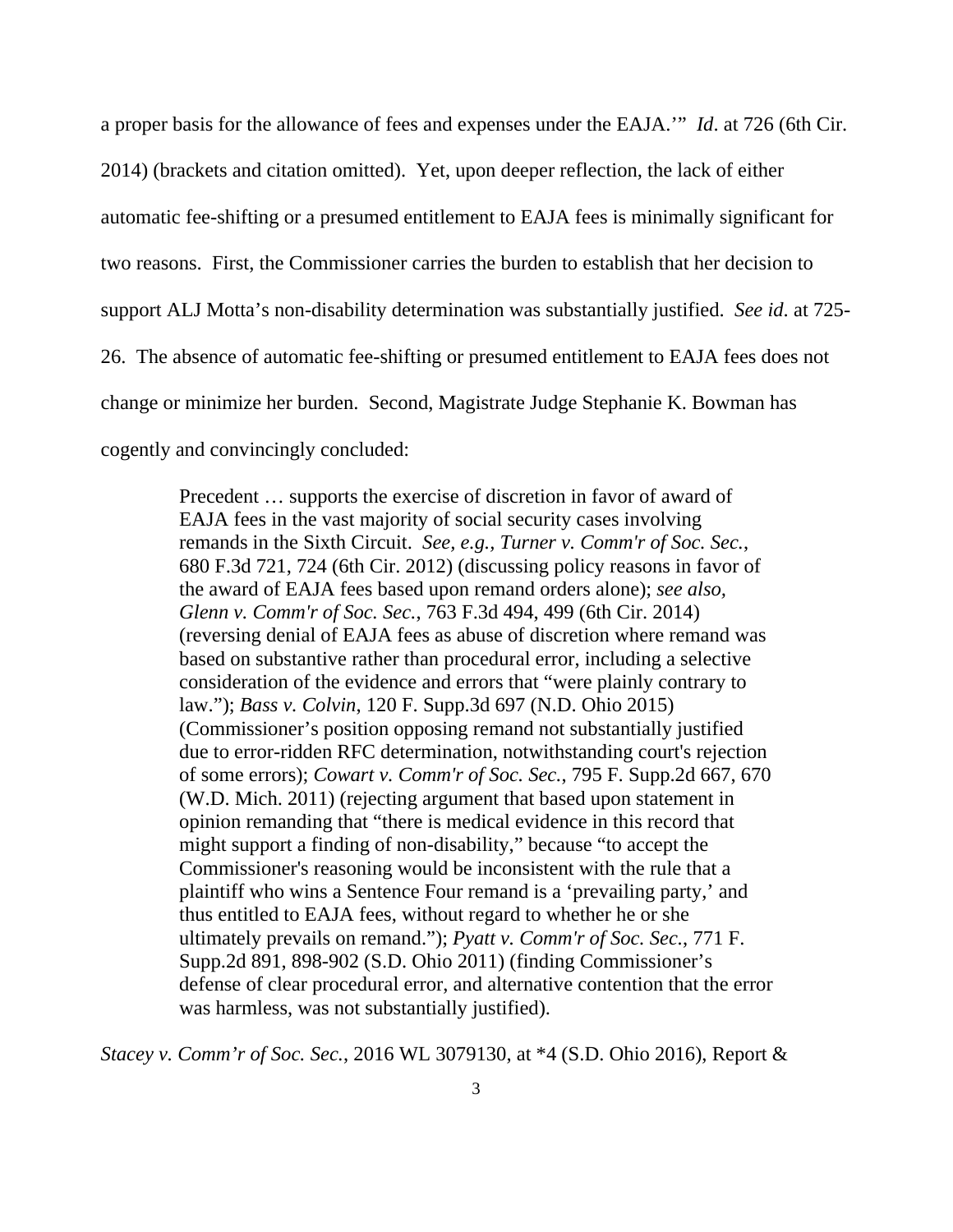a proper basis for the allowance of fees and expenses under the EAJA.'" *Id*. at 726 (6th Cir. 2014) (brackets and citation omitted). Yet, upon deeper reflection, the lack of either automatic fee-shifting or a presumed entitlement to EAJA fees is minimally significant for two reasons. First, the Commissioner carries the burden to establish that her decision to support ALJ Motta's non-disability determination was substantially justified. *See id*. at 725- 26. The absence of automatic fee-shifting or presumed entitlement to EAJA fees does not change or minimize her burden. Second, Magistrate Judge Stephanie K. Bowman has cogently and convincingly concluded:

> Precedent … supports the exercise of discretion in favor of award of EAJA fees in the vast majority of social security cases involving remands in the Sixth Circuit. *See, e.g., Turner v. Comm'r of Soc. Sec.*, 680 F.3d 721, 724 (6th Cir. 2012) (discussing policy reasons in favor of the award of EAJA fees based upon remand orders alone); *see also, Glenn v. Comm'r of Soc. Sec.*, 763 F.3d 494, 499 (6th Cir. 2014) (reversing denial of EAJA fees as abuse of discretion where remand was based on substantive rather than procedural error, including a selective consideration of the evidence and errors that "were plainly contrary to law."); *Bass v. Colvin*, 120 F. Supp.3d 697 (N.D. Ohio 2015) (Commissioner's position opposing remand not substantially justified due to error-ridden RFC determination, notwithstanding court's rejection of some errors); *Cowart v. Comm'r of Soc. Sec.*, 795 F. Supp.2d 667, 670 (W.D. Mich. 2011) (rejecting argument that based upon statement in opinion remanding that "there is medical evidence in this record that might support a finding of non-disability," because "to accept the Commissioner's reasoning would be inconsistent with the rule that a plaintiff who wins a Sentence Four remand is a 'prevailing party,' and thus entitled to EAJA fees, without regard to whether he or she ultimately prevails on remand."); *Pyatt v. Comm'r of Soc. Sec.*, 771 F. Supp.2d 891, 898-902 (S.D. Ohio 2011) (finding Commissioner's defense of clear procedural error, and alternative contention that the error was harmless, was not substantially justified).

*Stacey v. Comm'r of Soc. Sec.*, 2016 WL 3079130, at \*4 (S.D. Ohio 2016), Report &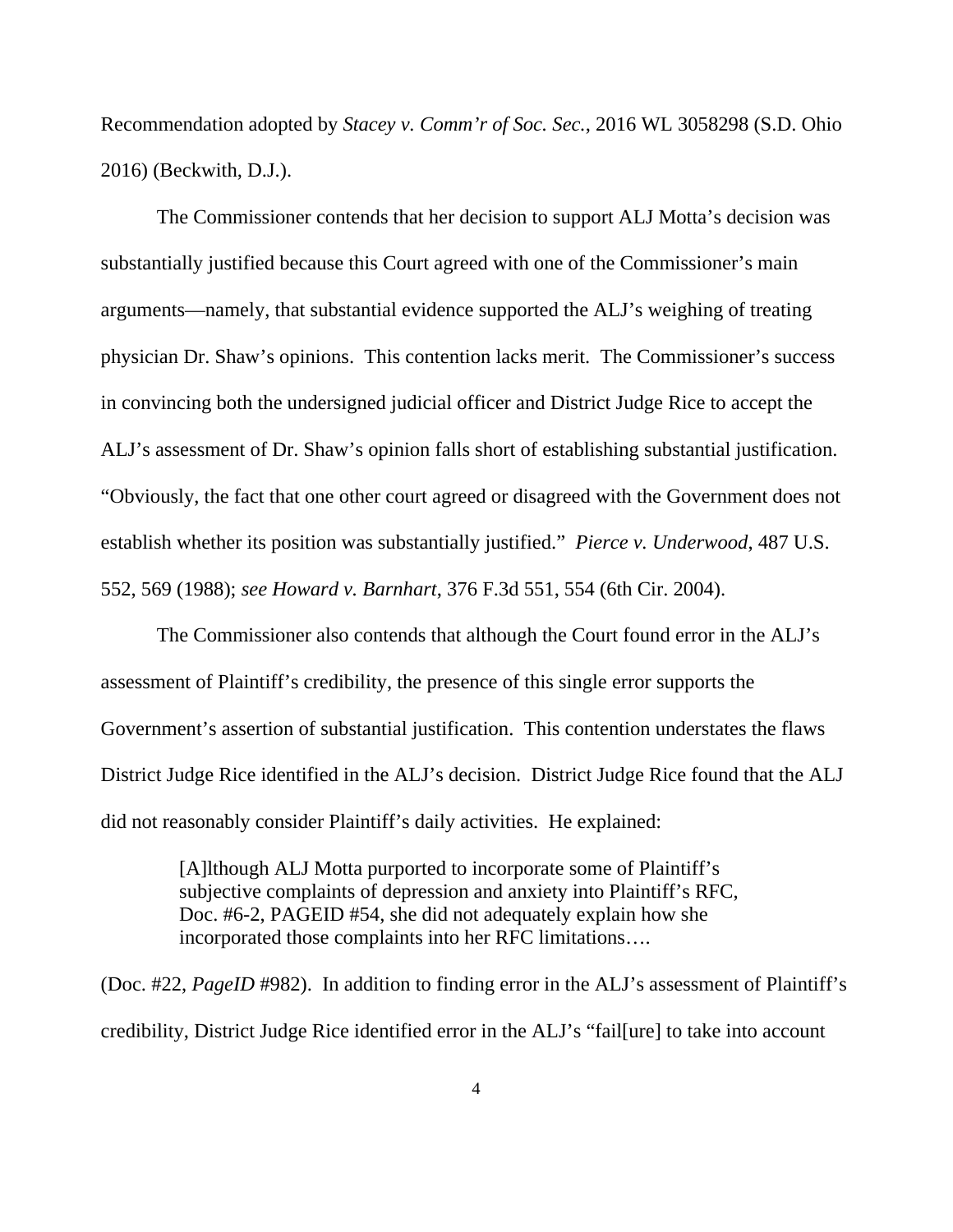Recommendation adopted by *Stacey v. Comm'r of Soc. Sec.*, 2016 WL 3058298 (S.D. Ohio 2016) (Beckwith, D.J.).

 The Commissioner contends that her decision to support ALJ Motta's decision was substantially justified because this Court agreed with one of the Commissioner's main arguments—namely, that substantial evidence supported the ALJ's weighing of treating physician Dr. Shaw's opinions. This contention lacks merit. The Commissioner's success in convincing both the undersigned judicial officer and District Judge Rice to accept the ALJ's assessment of Dr. Shaw's opinion falls short of establishing substantial justification. "Obviously, the fact that one other court agreed or disagreed with the Government does not establish whether its position was substantially justified." *Pierce v. Underwood*, 487 U.S. 552, 569 (1988); *see Howard v. Barnhart*, 376 F.3d 551, 554 (6th Cir. 2004).

 The Commissioner also contends that although the Court found error in the ALJ's assessment of Plaintiff's credibility, the presence of this single error supports the Government's assertion of substantial justification. This contention understates the flaws District Judge Rice identified in the ALJ's decision. District Judge Rice found that the ALJ did not reasonably consider Plaintiff's daily activities. He explained:

> [A]lthough ALJ Motta purported to incorporate some of Plaintiff's subjective complaints of depression and anxiety into Plaintiff's RFC, Doc. #6-2, PAGEID #54, she did not adequately explain how she incorporated those complaints into her RFC limitations….

(Doc. #22, *PageID* #982). In addition to finding error in the ALJ's assessment of Plaintiff's credibility, District Judge Rice identified error in the ALJ's "fail[ure] to take into account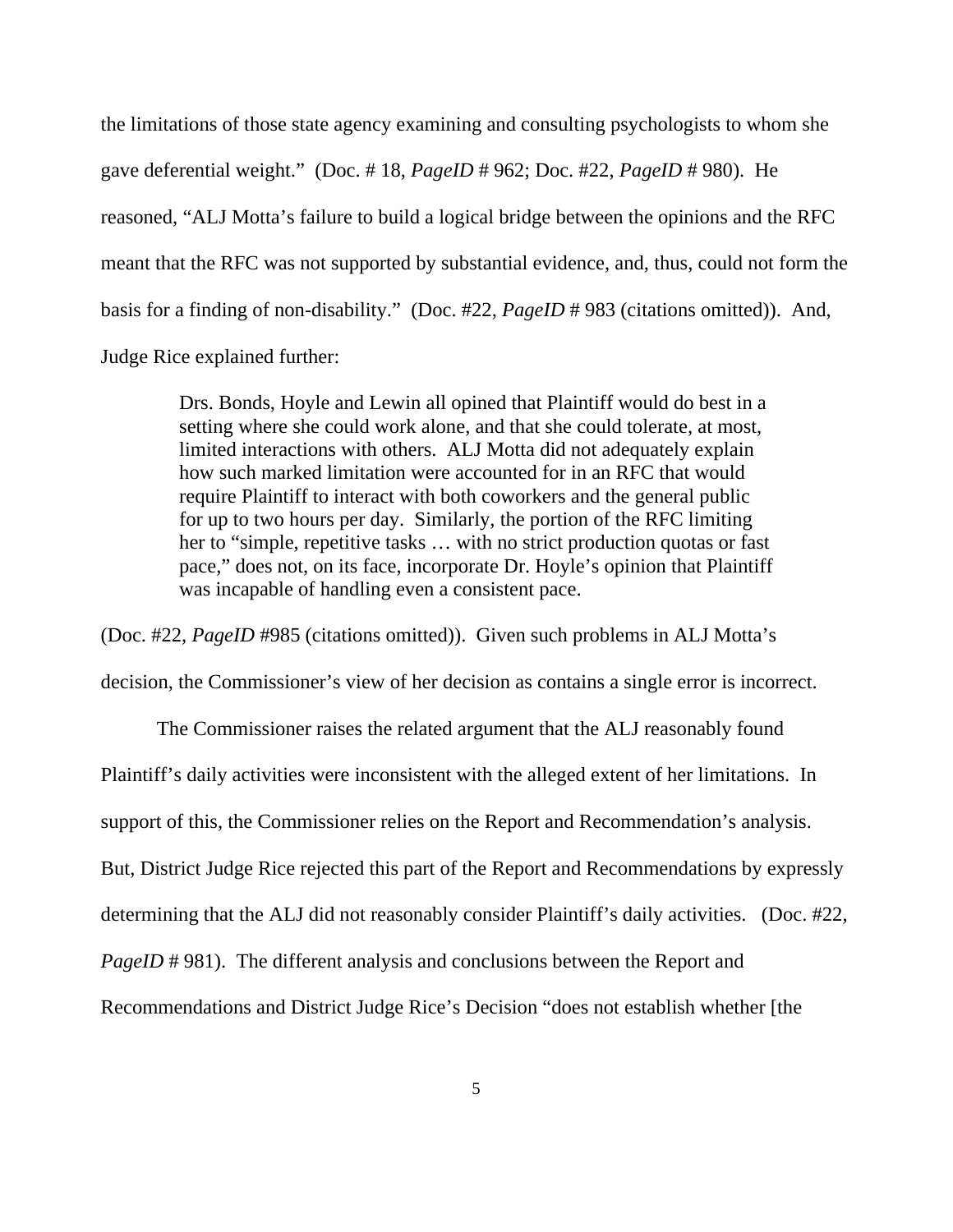the limitations of those state agency examining and consulting psychologists to whom she gave deferential weight." (Doc. # 18, *PageID* # 962; Doc. #22, *PageID* # 980). He reasoned, "ALJ Motta's failure to build a logical bridge between the opinions and the RFC meant that the RFC was not supported by substantial evidence, and, thus, could not form the basis for a finding of non-disability." (Doc. #22, *PageID* # 983 (citations omitted)). And, Judge Rice explained further:

> Drs. Bonds, Hoyle and Lewin all opined that Plaintiff would do best in a setting where she could work alone, and that she could tolerate, at most, limited interactions with others. ALJ Motta did not adequately explain how such marked limitation were accounted for in an RFC that would require Plaintiff to interact with both coworkers and the general public for up to two hours per day. Similarly, the portion of the RFC limiting her to "simple, repetitive tasks … with no strict production quotas or fast pace," does not, on its face, incorporate Dr. Hoyle's opinion that Plaintiff was incapable of handling even a consistent pace.

(Doc. #22, *PageID* #985 (citations omitted)). Given such problems in ALJ Motta's decision, the Commissioner's view of her decision as contains a single error is incorrect.

 The Commissioner raises the related argument that the ALJ reasonably found Plaintiff's daily activities were inconsistent with the alleged extent of her limitations. In support of this, the Commissioner relies on the Report and Recommendation's analysis. But, District Judge Rice rejected this part of the Report and Recommendations by expressly determining that the ALJ did not reasonably consider Plaintiff's daily activities. (Doc. #22, *PageID* #981). The different analysis and conclusions between the Report and Recommendations and District Judge Rice's Decision "does not establish whether [the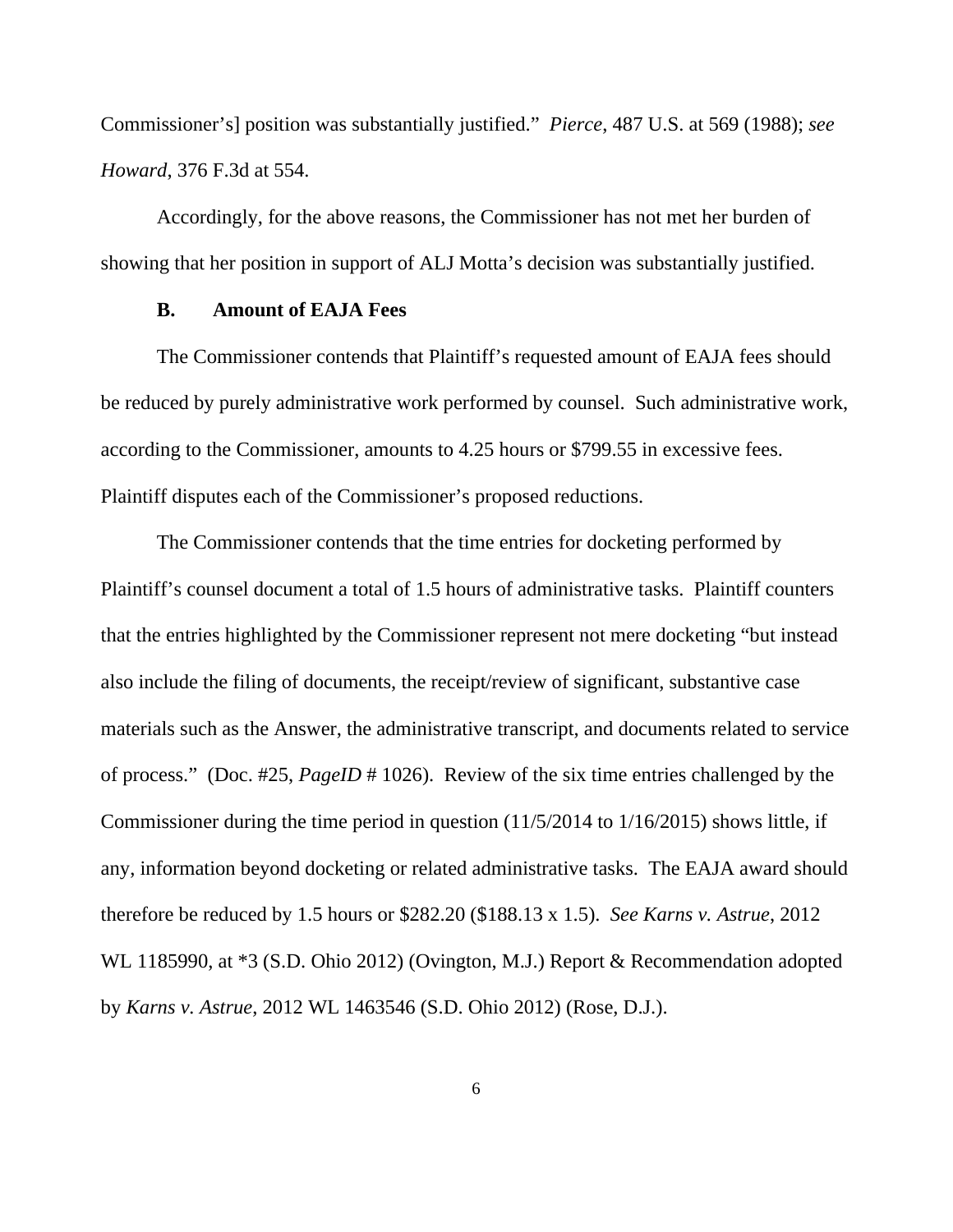Commissioner's] position was substantially justified." *Pierce*, 487 U.S. at 569 (1988); *see Howard*, 376 F.3d at 554.

 Accordingly, for the above reasons, the Commissioner has not met her burden of showing that her position in support of ALJ Motta's decision was substantially justified.

## **B. Amount of EAJA Fees**

 The Commissioner contends that Plaintiff's requested amount of EAJA fees should be reduced by purely administrative work performed by counsel. Such administrative work, according to the Commissioner, amounts to 4.25 hours or \$799.55 in excessive fees. Plaintiff disputes each of the Commissioner's proposed reductions.

 The Commissioner contends that the time entries for docketing performed by Plaintiff's counsel document a total of 1.5 hours of administrative tasks. Plaintiff counters that the entries highlighted by the Commissioner represent not mere docketing "but instead also include the filing of documents, the receipt/review of significant, substantive case materials such as the Answer, the administrative transcript, and documents related to service of process." (Doc. #25, *PageID* # 1026). Review of the six time entries challenged by the Commissioner during the time period in question (11/5/2014 to 1/16/2015) shows little, if any, information beyond docketing or related administrative tasks. The EAJA award should therefore be reduced by 1.5 hours or \$282.20 (\$188.13 x 1.5). *See Karns v. Astrue*, 2012 WL 1185990, at \*3 (S.D. Ohio 2012) (Ovington, M.J.) Report & Recommendation adopted by *Karns v. Astrue*, 2012 WL 1463546 (S.D. Ohio 2012) (Rose, D.J.).

6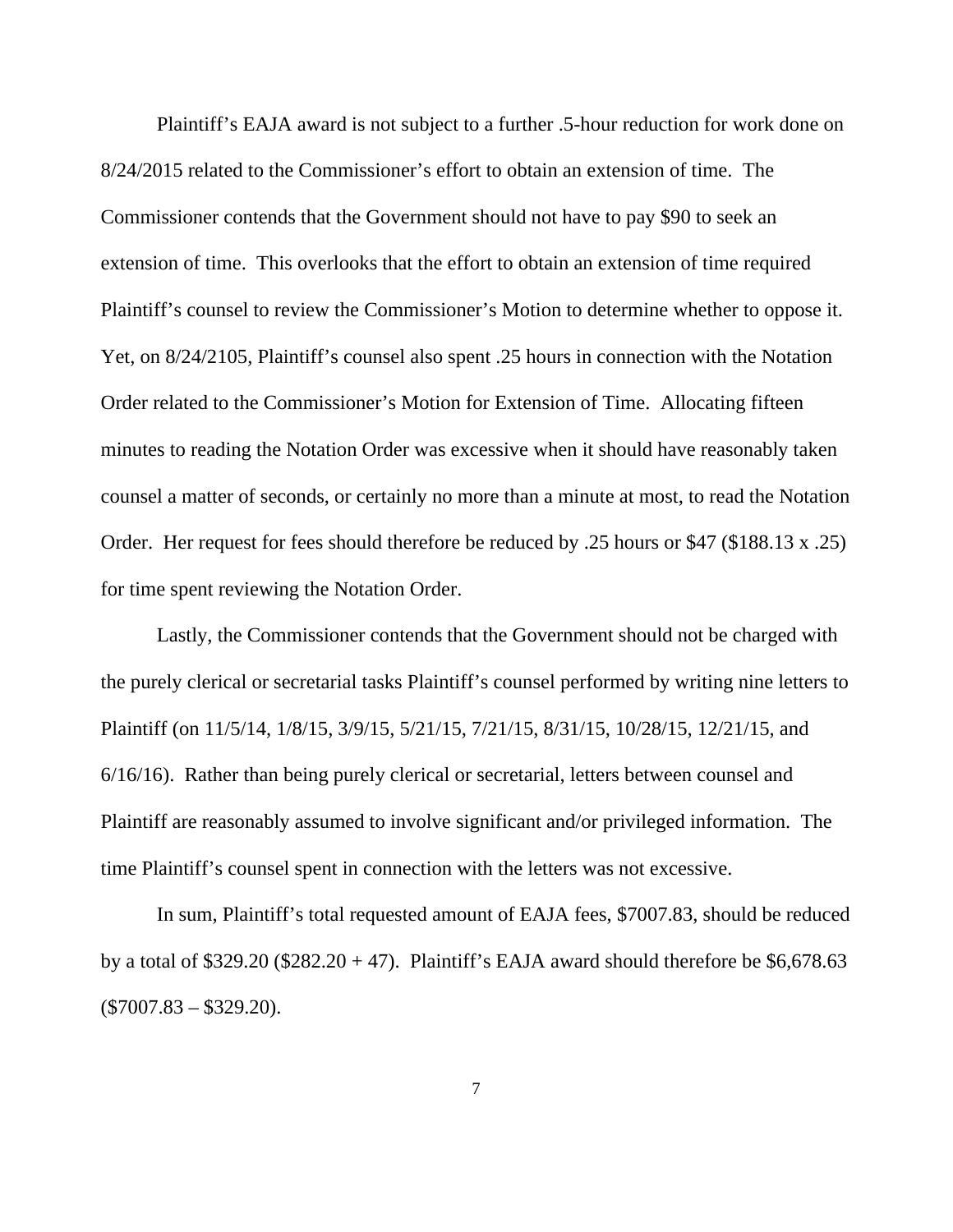Plaintiff's EAJA award is not subject to a further .5-hour reduction for work done on 8/24/2015 related to the Commissioner's effort to obtain an extension of time. The Commissioner contends that the Government should not have to pay \$90 to seek an extension of time. This overlooks that the effort to obtain an extension of time required Plaintiff's counsel to review the Commissioner's Motion to determine whether to oppose it. Yet, on 8/24/2105, Plaintiff's counsel also spent .25 hours in connection with the Notation Order related to the Commissioner's Motion for Extension of Time. Allocating fifteen minutes to reading the Notation Order was excessive when it should have reasonably taken counsel a matter of seconds, or certainly no more than a minute at most, to read the Notation Order. Her request for fees should therefore be reduced by .25 hours or \$47 (\$188.13 x .25) for time spent reviewing the Notation Order.

 Lastly, the Commissioner contends that the Government should not be charged with the purely clerical or secretarial tasks Plaintiff's counsel performed by writing nine letters to Plaintiff (on 11/5/14, 1/8/15, 3/9/15, 5/21/15, 7/21/15, 8/31/15, 10/28/15, 12/21/15, and 6/16/16). Rather than being purely clerical or secretarial, letters between counsel and Plaintiff are reasonably assumed to involve significant and/or privileged information. The time Plaintiff's counsel spent in connection with the letters was not excessive.

 In sum, Plaintiff's total requested amount of EAJA fees, \$7007.83, should be reduced by a total of \$329.20 (\$282.20 + 47). Plaintiff's EAJA award should therefore be \$6,678.63  $(\$7007.83 - \$329.20).$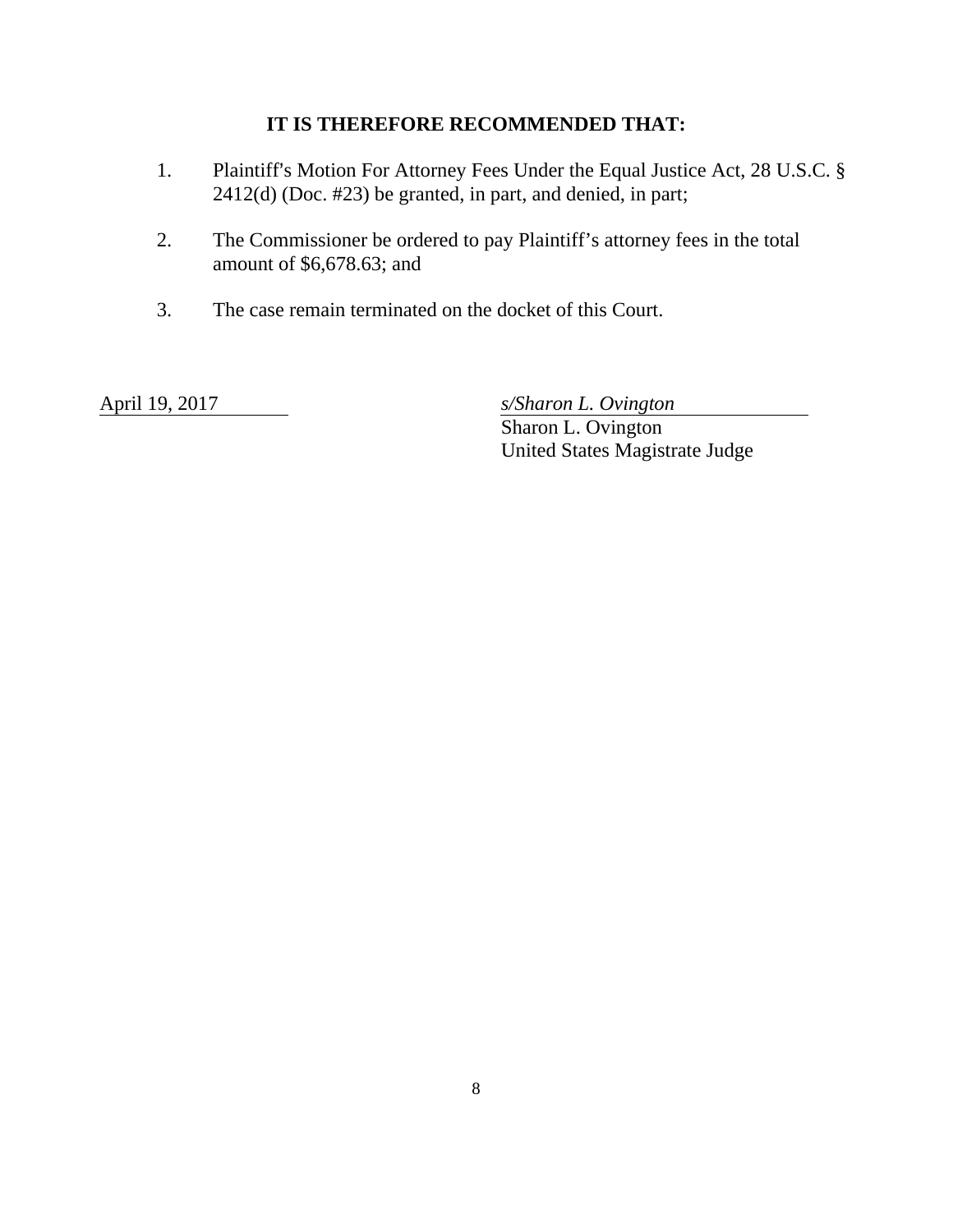## **IT IS THEREFORE RECOMMENDED THAT:**

- 1. Plaintiff's Motion For Attorney Fees Under the Equal Justice Act, 28 U.S.C. § 2412(d) (Doc. #23) be granted, in part, and denied, in part;
- 2. The Commissioner be ordered to pay Plaintiff's attorney fees in the total amount of \$6,678.63; and
- 3. The case remain terminated on the docket of this Court.

April 19, 2017 *s/Sharon L. Ovington* 

 Sharon L. Ovington United States Magistrate Judge